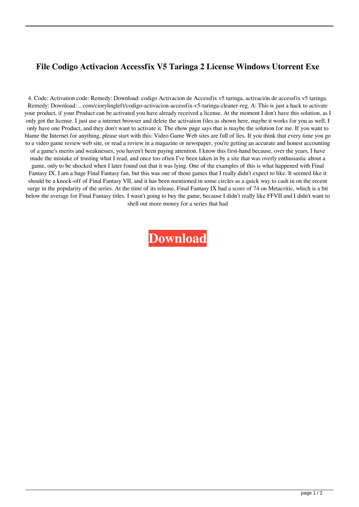## **File Codigo Activacion Accessfix V5 Taringa 2 License Windows Utorrent Exe**

4. Code: Activation code: Remedy: Download: codigo Activacion de Accessfix v5 taringa, activación de accessfix v5 taringa. Remedy: Download: .. com/ciorylingleft/codigo-activacion-accessfix-v5-taringa-cleaner-reg. A: This is just a hack to activate your product, if your Product can be activated you have already received a license. At the moment I don't have this solution, as I only got the license. I just use a internet browser and delete the activation files as shown here, maybe it works for you as well. I only have one Product, and they don't want to activate it. The ehow page says that is maybe the solution for me. If you want to blame the Internet for anything, please start with this: Video Game Web sites are full of lies. If you think that every time you go to a video game review web site, or read a review in a magazine or newspaper, you're getting an accurate and honest accounting of a game's merits and weaknesses, you haven't been paying attention. I know this first-hand because, over the years, I have made the mistake of trusting what I read, and once too often I've been taken in by a site that was overly enthusiastic about a game, only to be shocked when I later found out that it was lying. One of the examples of this is what happened with Final Fantasy IX. I am a huge Final Fantasy fan, but this was one of those games that I really didn't expect to like. It seemed like it should be a knock-off of Final Fantasy VII, and it has been mentioned in some circles as a quick way to cash in on the recent surge in the popularity of the series. At the time of its release, Final Fantasy IX had a score of 74 on Metacritic, which is a bit below the average for Final Fantasy titles. I wasn't going to buy the game, because I didn't really like FFVII and I didn't want to shell out more money for a series that had

**[Download](http://evacdir.com/Y29kaWdvIGFjdGl2YWNpb24gYWNjZXNzZml4IHY1IHRhcmluZ2EgMgY29/convoy/eurusd/flavinols/stirling/ZG93bmxvYWR8QTFZTVhSc01ueDhNVFkxTWpjME1EZzJObng4TWpVM05IeDhLRTBwSUhKbFlXUXRZbXh2WnlCYlJtRnpkQ0JIUlU1ZA&available=luralite)**